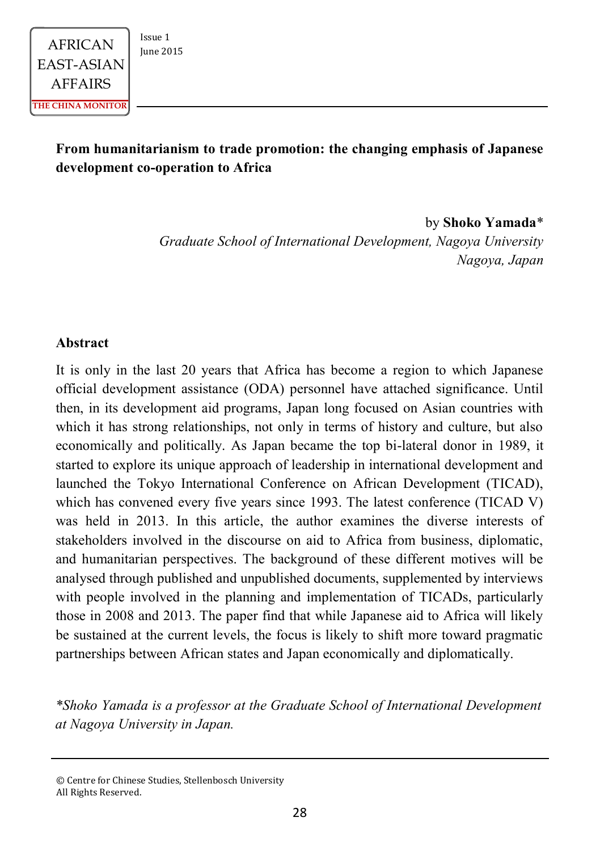

#### **From humanitarianism to trade promotion: the changing emphasis of Japanese development co-operation to Africa**

by **Shoko Yamada**\* *Graduate School of International Development, Nagoya University Nagoya, Japan*

#### **Abstract**

It is only in the last 20 years that Africa has become a region to which Japanese official development assistance (ODA) personnel have attached significance. Until then, in its development aid programs, Japan long focused on Asian countries with which it has strong relationships, not only in terms of history and culture, but also economically and politically. As Japan became the top bi-lateral donor in 1989, it started to explore its unique approach of leadership in international development and launched the Tokyo International Conference on African Development (TICAD), which has convened every five years since 1993. The latest conference (TICAD V) was held in 2013. In this article, the author examines the diverse interests of stakeholders involved in the discourse on aid to Africa from business, diplomatic, and humanitarian perspectives. The background of these different motives will be analysed through published and unpublished documents, supplemented by interviews with people involved in the planning and implementation of TICADs, particularly those in 2008 and 2013. The paper find that while Japanese aid to Africa will likely be sustained at the current levels, the focus is likely to shift more toward pragmatic partnerships between African states and Japan economically and diplomatically.

*\*Shoko Yamada is a professor at the Graduate School of International Development at Nagoya University in Japan.*

© Centre for Chinese Studies, Stellenbosch University All Rights Reserved.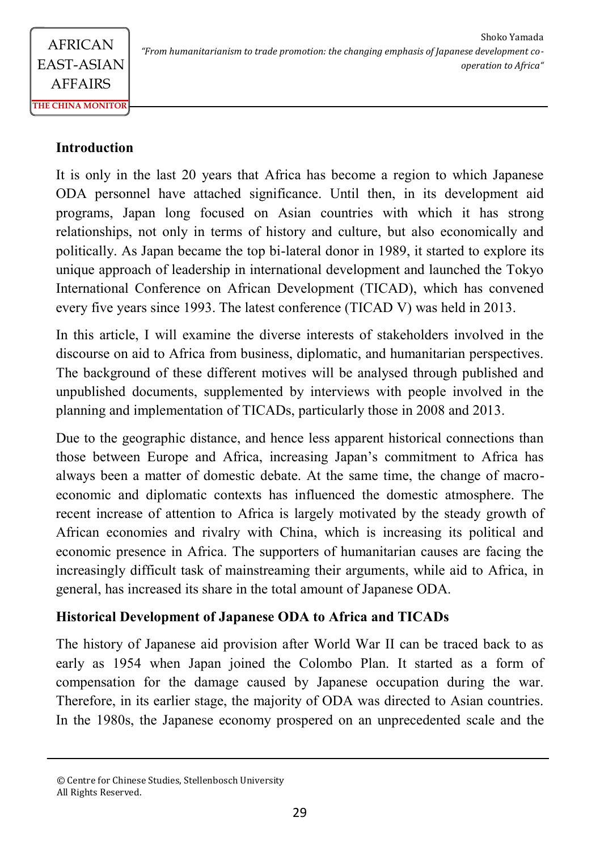AFRICAN

#### **Introduction**

It is only in the last 20 years that Africa has become a region to which Japanese ODA personnel have attached significance. Until then, in its development aid programs, Japan long focused on Asian countries with which it has strong relationships, not only in terms of history and culture, but also economically and politically. As Japan became the top bi-lateral donor in 1989, it started to explore its unique approach of leadership in international development and launched the Tokyo International Conference on African Development (TICAD), which has convened every five years since 1993. The latest conference (TICAD V) was held in 2013.

In this article, I will examine the diverse interests of stakeholders involved in the discourse on aid to Africa from business, diplomatic, and humanitarian perspectives. The background of these different motives will be analysed through published and unpublished documents, supplemented by interviews with people involved in the planning and implementation of TICADs, particularly those in 2008 and 2013.

Due to the geographic distance, and hence less apparent historical connections than those between Europe and Africa, increasing Japan's commitment to Africa has always been a matter of domestic debate. At the same time, the change of macroeconomic and diplomatic contexts has influenced the domestic atmosphere. The recent increase of attention to Africa is largely motivated by the steady growth of African economies and rivalry with China, which is increasing its political and economic presence in Africa. The supporters of humanitarian causes are facing the increasingly difficult task of mainstreaming their arguments, while aid to Africa, in general, has increased its share in the total amount of Japanese ODA.

### **Historical Development of Japanese ODA to Africa and TICADs**

The history of Japanese aid provision after World War II can be traced back to as early as 1954 when Japan joined the Colombo Plan. It started as a form of compensation for the damage caused by Japanese occupation during the war. Therefore, in its earlier stage, the majority of ODA was directed to Asian countries. In the 1980s, the Japanese economy prospered on an unprecedented scale and the

<sup>©</sup> Centre for Chinese Studies, Stellenbosch University All Rights Reserved.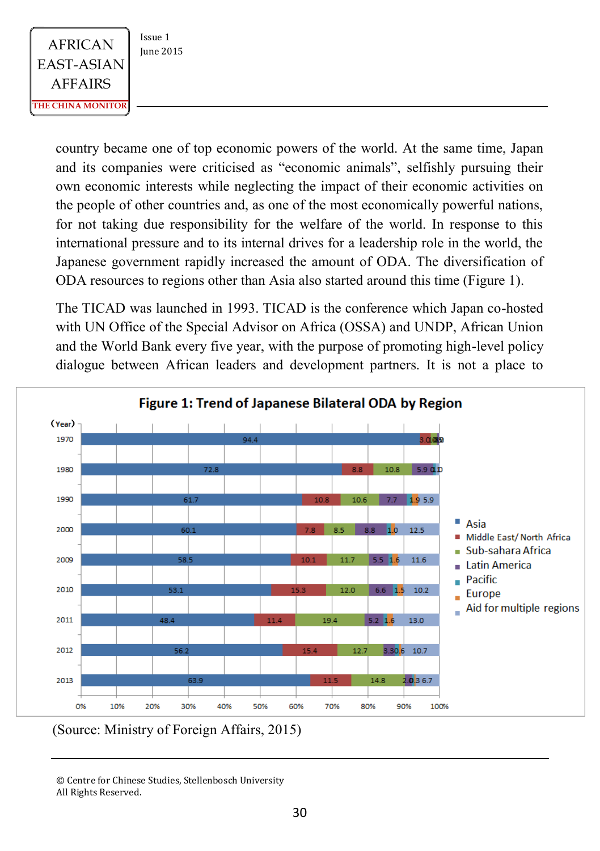country became one of top economic powers of the world. At the same time, Japan and its companies were criticised as "economic animals", selfishly pursuing their own economic interests while neglecting the impact of their economic activities on the people of other countries and, as one of the most economically powerful nations, for not taking due responsibility for the welfare of the world. In response to this international pressure and to its internal drives for a leadership role in the world, the Japanese government rapidly increased the amount of ODA. The diversification of ODA resources to regions other than Asia also started around this time (Figure 1).

The TICAD was launched in 1993. TICAD is the conference which Japan co-hosted with UN Office of the Special Advisor on Africa (OSSA) and UNDP, African Union and the World Bank every five year, with the purpose of promoting high-level policy dialogue between African leaders and development partners. It is not a place to



<sup>(</sup>Source: Ministry of Foreign Affairs, 2015)

<sup>©</sup> Centre for Chinese Studies, Stellenbosch University All Rights Reserved.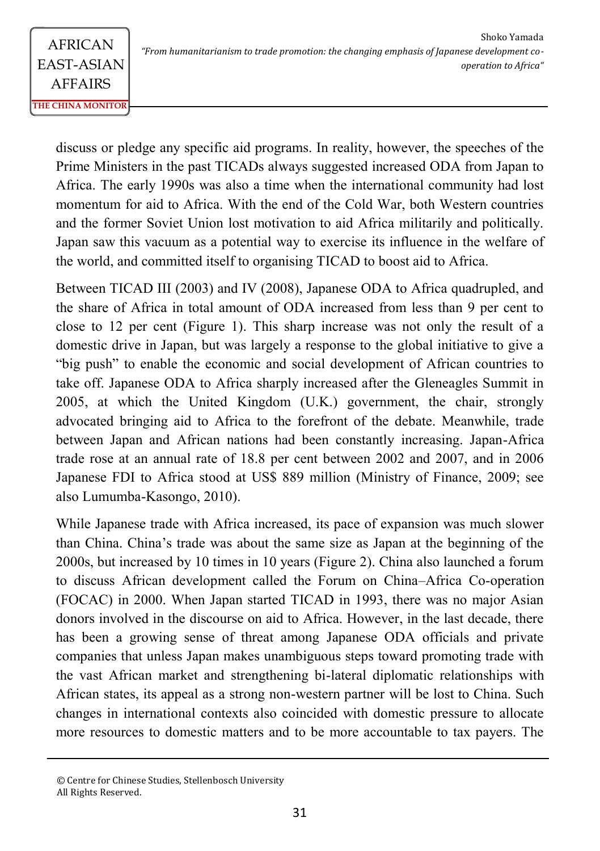> discuss or pledge any specific aid programs. In reality, however, the speeches of the Prime Ministers in the past TICADs always suggested increased ODA from Japan to Africa. The early 1990s was also a time when the international community had lost momentum for aid to Africa. With the end of the Cold War, both Western countries and the former Soviet Union lost motivation to aid Africa militarily and politically. Japan saw this vacuum as a potential way to exercise its influence in the welfare of the world, and committed itself to organising TICAD to boost aid to Africa.

> Between TICAD III (2003) and IV (2008), Japanese ODA to Africa quadrupled, and the share of Africa in total amount of ODA increased from less than 9 per cent to close to 12 per cent (Figure 1). This sharp increase was not only the result of a domestic drive in Japan, but was largely a response to the global initiative to give a "big push" to enable the economic and social development of African countries to take off. Japanese ODA to Africa sharply increased after the Gleneagles Summit in 2005, at which the United Kingdom (U.K.) government, the chair, strongly advocated bringing aid to Africa to the forefront of the debate. Meanwhile, trade between Japan and African nations had been constantly increasing. Japan-Africa trade rose at an annual rate of 18.8 per cent between 2002 and 2007, and in 2006 Japanese FDI to Africa stood at US\$ 889 million (Ministry of Finance, 2009; see also Lumumba-Kasongo, 2010).

> While Japanese trade with Africa increased, its pace of expansion was much slower than China. China's trade was about the same size as Japan at the beginning of the 2000s, but increased by 10 times in 10 years (Figure 2). China also launched a forum to discuss African development called the Forum on China–Africa Co-operation (FOCAC) in 2000. When Japan started TICAD in 1993, there was no major Asian donors involved in the discourse on aid to Africa. However, in the last decade, there has been a growing sense of threat among Japanese ODA officials and private companies that unless Japan makes unambiguous steps toward promoting trade with the vast African market and strengthening bi-lateral diplomatic relationships with African states, its appeal as a strong non-western partner will be lost to China. Such changes in international contexts also coincided with domestic pressure to allocate more resources to domestic matters and to be more accountable to tax payers. The

<sup>©</sup> Centre for Chinese Studies, Stellenbosch University All Rights Reserved.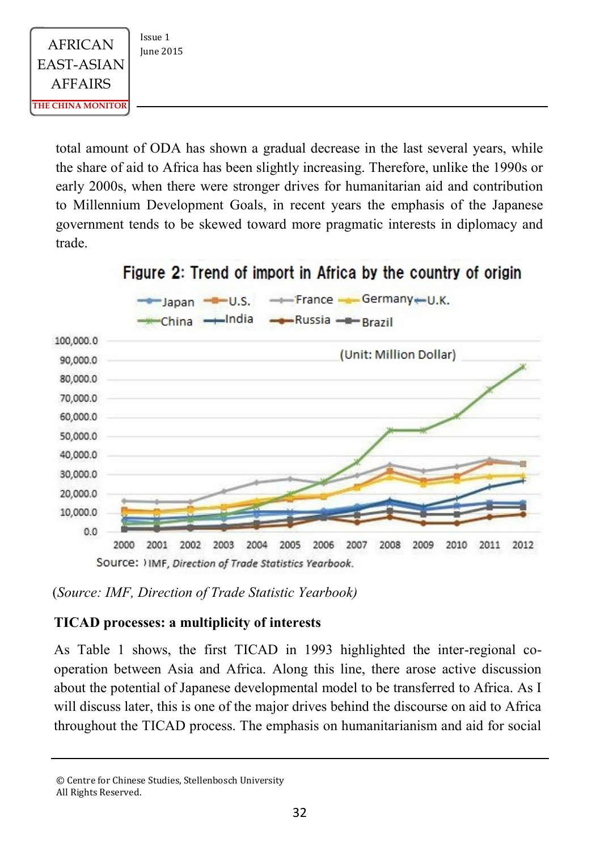

total amount of ODA has shown a gradual decrease in the last several years, while the share of aid to Africa has been slightly increasing. Therefore, unlike the 1990s or early 2000s, when there were stronger drives for humanitarian aid and contribution to Millennium Development Goals, in recent years the emphasis of the Japanese government tends to be skewed toward more pragmatic interests in diplomacy and trade.



Figure 2: Trend of import in Africa by the country of origin

(*Source: IMF, Direction of Trade Statistic Yearbook)*

#### **TICAD processes: a multiplicity of interests**

As Table 1 shows, the first TICAD in 1993 highlighted the inter-regional cooperation between Asia and Africa. Along this line, there arose active discussion about the potential of Japanese developmental model to be transferred to Africa. As I will discuss later, this is one of the major drives behind the discourse on aid to Africa throughout the TICAD process. The emphasis on humanitarianism and aid for social

© Centre for Chinese Studies, Stellenbosch University All Rights Reserved.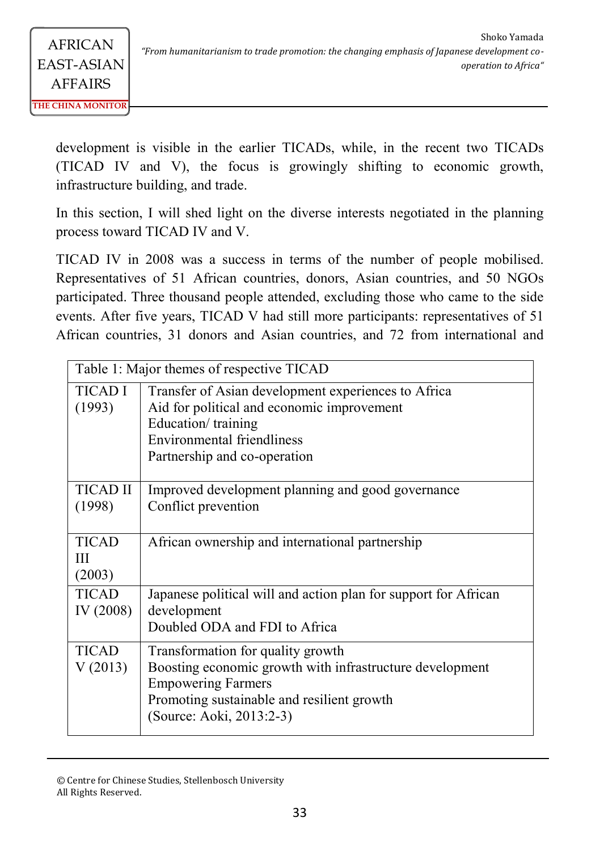development is visible in the earlier TICADs, while, in the recent two TICADs (TICAD IV and V), the focus is growingly shifting to economic growth, infrastructure building, and trade.

In this section, I will shed light on the diverse interests negotiated in the planning process toward TICAD IV and V.

TICAD IV in 2008 was a success in terms of the number of people mobilised. Representatives of 51 African countries, donors, Asian countries, and 50 NGOs participated. Three thousand people attended, excluding those who came to the side events. After five years, TICAD V had still more participants: representatives of 51 African countries, 31 donors and Asian countries, and 72 from international and

| Table 1: Major themes of respective TICAD |                                                                                                                                                                                                      |
|-------------------------------------------|------------------------------------------------------------------------------------------------------------------------------------------------------------------------------------------------------|
| <b>TICAD I</b><br>(1993)                  | Transfer of Asian development experiences to Africa<br>Aid for political and economic improvement<br>Education/training<br><b>Environmental friendliness</b><br>Partnership and co-operation         |
| TICAD II<br>(1998)                        | Improved development planning and good governance<br>Conflict prevention                                                                                                                             |
| <b>TICAD</b><br>Ш<br>(2003)               | African ownership and international partnership                                                                                                                                                      |
| TICAD<br>IV (2008)                        | Japanese political will and action plan for support for African<br>development<br>Doubled ODA and FDI to Africa                                                                                      |
| <b>TICAD</b><br>V(2013)                   | Transformation for quality growth<br>Boosting economic growth with infrastructure development<br><b>Empowering Farmers</b><br>Promoting sustainable and resilient growth<br>(Source: Aoki, 2013:2-3) |

<sup>©</sup> Centre for Chinese Studies, Stellenbosch University All Rights Reserved.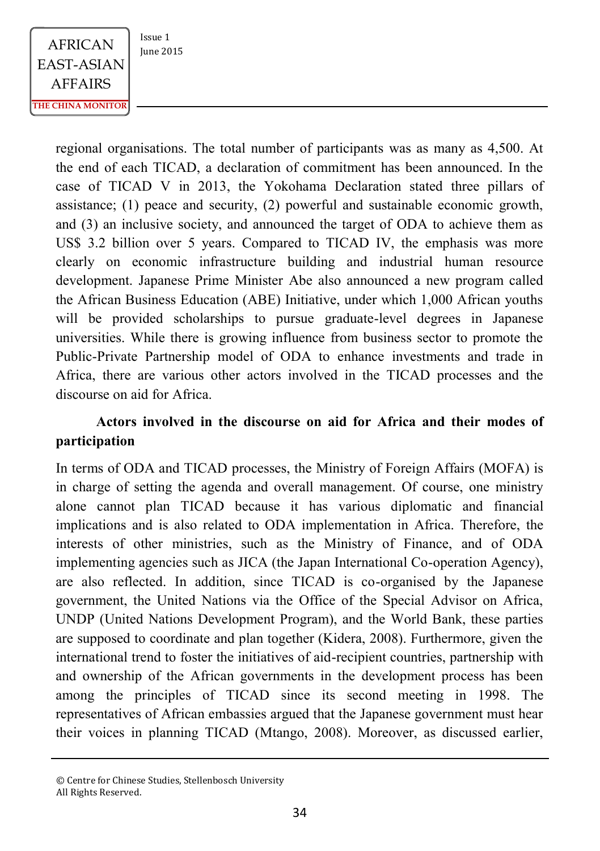regional organisations. The total number of participants was as many as 4,500. At the end of each TICAD, a declaration of commitment has been announced. In the case of TICAD V in 2013, the Yokohama Declaration stated three pillars of assistance; (1) peace and security, (2) powerful and sustainable economic growth, and (3) an inclusive society, and announced the target of ODA to achieve them as US\$ 3.2 billion over 5 years. Compared to TICAD IV, the emphasis was more clearly on economic infrastructure building and industrial human resource development. Japanese Prime Minister Abe also announced a new program called the African Business Education (ABE) Initiative, under which 1,000 African youths will be provided scholarships to pursue graduate-level degrees in Japanese universities. While there is growing influence from business sector to promote the Public-Private Partnership model of ODA to enhance investments and trade in Africa, there are various other actors involved in the TICAD processes and the discourse on aid for Africa.

## **Actors involved in the discourse on aid for Africa and their modes of participation**

In terms of ODA and TICAD processes, the Ministry of Foreign Affairs (MOFA) is in charge of setting the agenda and overall management. Of course, one ministry alone cannot plan TICAD because it has various diplomatic and financial implications and is also related to ODA implementation in Africa. Therefore, the interests of other ministries, such as the Ministry of Finance, and of ODA implementing agencies such as JICA (the Japan International Co-operation Agency), are also reflected. In addition, since TICAD is co-organised by the Japanese government, the United Nations via the Office of the Special Advisor on Africa, UNDP (United Nations Development Program), and the World Bank, these parties are supposed to coordinate and plan together (Kidera, 2008). Furthermore, given the international trend to foster the initiatives of aid-recipient countries, partnership with and ownership of the African governments in the development process has been among the principles of TICAD since its second meeting in 1998. The representatives of African embassies argued that the Japanese government must hear their voices in planning TICAD (Mtango, 2008). Moreover, as discussed earlier,

<sup>©</sup> Centre for Chinese Studies, Stellenbosch University All Rights Reserved.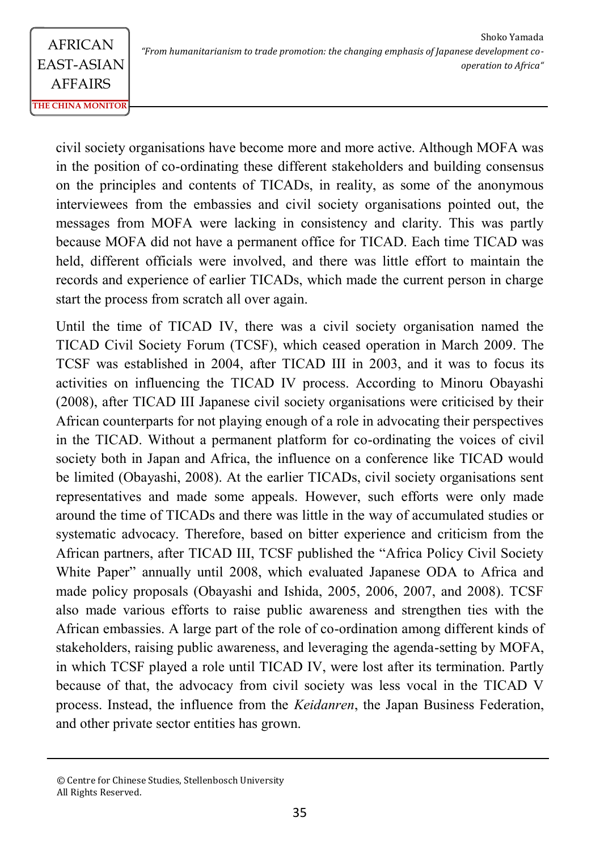> civil society organisations have become more and more active. Although MOFA was in the position of co-ordinating these different stakeholders and building consensus on the principles and contents of TICADs, in reality, as some of the anonymous interviewees from the embassies and civil society organisations pointed out, the messages from MOFA were lacking in consistency and clarity. This was partly because MOFA did not have a permanent office for TICAD. Each time TICAD was held, different officials were involved, and there was little effort to maintain the records and experience of earlier TICADs, which made the current person in charge start the process from scratch all over again.

> Until the time of TICAD IV, there was a civil society organisation named the TICAD Civil Society Forum (TCSF), which ceased operation in March 2009. The TCSF was established in 2004, after TICAD III in 2003, and it was to focus its activities on influencing the TICAD IV process. According to Minoru Obayashi (2008), after TICAD III Japanese civil society organisations were criticised by their African counterparts for not playing enough of a role in advocating their perspectives in the TICAD. Without a permanent platform for co-ordinating the voices of civil society both in Japan and Africa, the influence on a conference like TICAD would be limited (Obayashi, 2008). At the earlier TICADs, civil society organisations sent representatives and made some appeals. However, such efforts were only made around the time of TICADs and there was little in the way of accumulated studies or systematic advocacy. Therefore, based on bitter experience and criticism from the African partners, after TICAD III, TCSF published the "Africa Policy Civil Society White Paper" annually until 2008, which evaluated Japanese ODA to Africa and made policy proposals (Obayashi and Ishida, 2005, 2006, 2007, and 2008). TCSF also made various efforts to raise public awareness and strengthen ties with the African embassies. A large part of the role of co-ordination among different kinds of stakeholders, raising public awareness, and leveraging the agenda-setting by MOFA, in which TCSF played a role until TICAD IV, were lost after its termination. Partly because of that, the advocacy from civil society was less vocal in the TICAD V process. Instead, the influence from the *Keidanren*, the Japan Business Federation, and other private sector entities has grown.

<sup>©</sup> Centre for Chinese Studies, Stellenbosch University All Rights Reserved.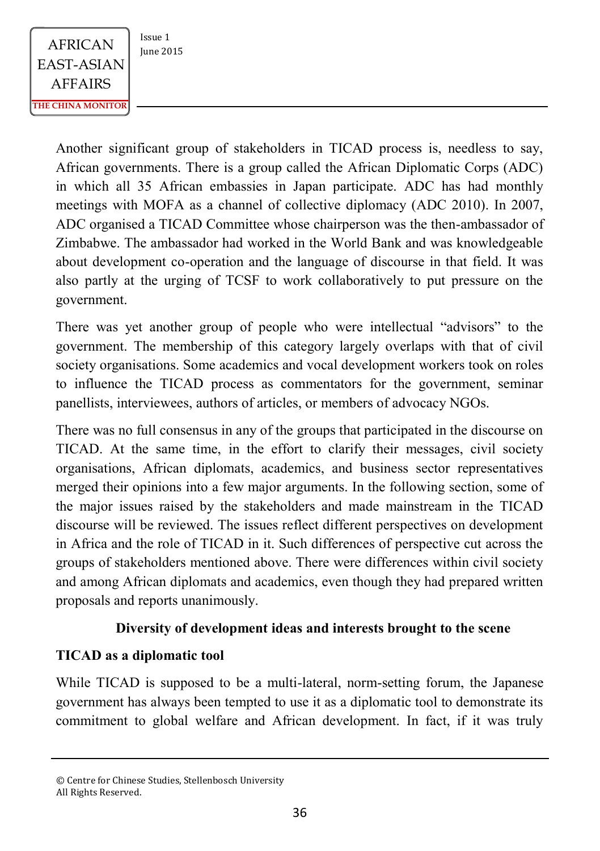Another significant group of stakeholders in TICAD process is, needless to say, African governments. There is a group called the African Diplomatic Corps (ADC) in which all 35 African embassies in Japan participate. ADC has had monthly meetings with MOFA as a channel of collective diplomacy (ADC 2010). In 2007, ADC organised a TICAD Committee whose chairperson was the then-ambassador of Zimbabwe. The ambassador had worked in the World Bank and was knowledgeable about development co-operation and the language of discourse in that field. It was also partly at the urging of TCSF to work collaboratively to put pressure on the government.

There was yet another group of people who were intellectual "advisors" to the government. The membership of this category largely overlaps with that of civil society organisations. Some academics and vocal development workers took on roles to influence the TICAD process as commentators for the government, seminar panellists, interviewees, authors of articles, or members of advocacy NGOs.

There was no full consensus in any of the groups that participated in the discourse on TICAD. At the same time, in the effort to clarify their messages, civil society organisations, African diplomats, academics, and business sector representatives merged their opinions into a few major arguments. In the following section, some of the major issues raised by the stakeholders and made mainstream in the TICAD discourse will be reviewed. The issues reflect different perspectives on development in Africa and the role of TICAD in it. Such differences of perspective cut across the groups of stakeholders mentioned above. There were differences within civil society and among African diplomats and academics, even though they had prepared written proposals and reports unanimously.

#### **Diversity of development ideas and interests brought to the scene**

### **TICAD as a diplomatic tool**

While TICAD is supposed to be a multi-lateral, norm-setting forum, the Japanese government has always been tempted to use it as a diplomatic tool to demonstrate its commitment to global welfare and African development. In fact, if it was truly

<sup>©</sup> Centre for Chinese Studies, Stellenbosch University All Rights Reserved.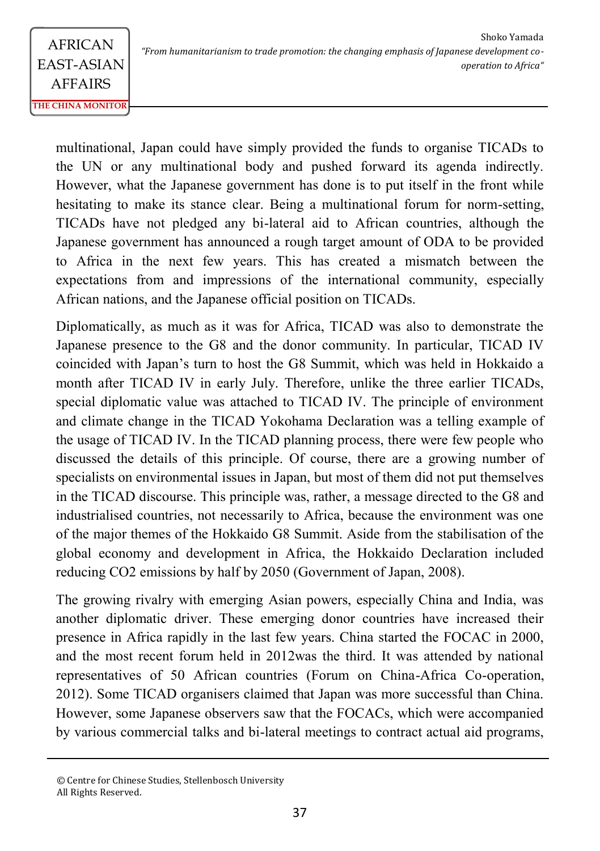> multinational, Japan could have simply provided the funds to organise TICADs to the UN or any multinational body and pushed forward its agenda indirectly. However, what the Japanese government has done is to put itself in the front while hesitating to make its stance clear. Being a multinational forum for norm-setting, TICADs have not pledged any bi-lateral aid to African countries, although the Japanese government has announced a rough target amount of ODA to be provided to Africa in the next few years. This has created a mismatch between the expectations from and impressions of the international community, especially African nations, and the Japanese official position on TICADs.

> Diplomatically, as much as it was for Africa, TICAD was also to demonstrate the Japanese presence to the G8 and the donor community. In particular, TICAD IV coincided with Japan's turn to host the G8 Summit, which was held in Hokkaido a month after TICAD IV in early July. Therefore, unlike the three earlier TICADs, special diplomatic value was attached to TICAD IV. The principle of environment and climate change in the TICAD Yokohama Declaration was a telling example of the usage of TICAD IV. In the TICAD planning process, there were few people who discussed the details of this principle. Of course, there are a growing number of specialists on environmental issues in Japan, but most of them did not put themselves in the TICAD discourse. This principle was, rather, a message directed to the G8 and industrialised countries, not necessarily to Africa, because the environment was one of the major themes of the Hokkaido G8 Summit. Aside from the stabilisation of the global economy and development in Africa, the Hokkaido Declaration included reducing CO2 emissions by half by 2050 (Government of Japan, 2008).

> The growing rivalry with emerging Asian powers, especially China and India, was another diplomatic driver. These emerging donor countries have increased their presence in Africa rapidly in the last few years. China started the FOCAC in 2000, and the most recent forum held in 2012was the third. It was attended by national representatives of 50 African countries (Forum on China-Africa Co-operation, 2012). Some TICAD organisers claimed that Japan was more successful than China. However, some Japanese observers saw that the FOCACs, which were accompanied by various commercial talks and bi-lateral meetings to contract actual aid programs,

<sup>©</sup> Centre for Chinese Studies, Stellenbosch University All Rights Reserved.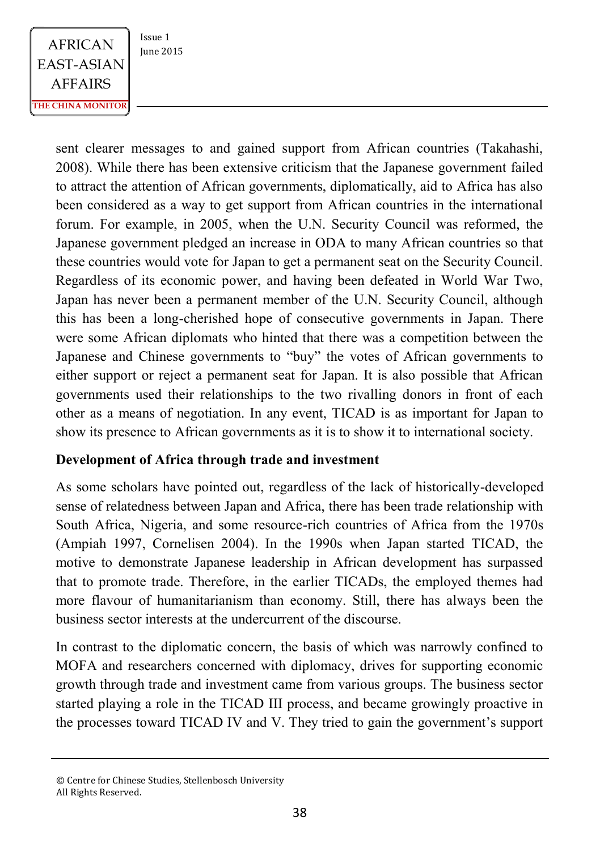sent clearer messages to and gained support from African countries (Takahashi, 2008). While there has been extensive criticism that the Japanese government failed to attract the attention of African governments, diplomatically, aid to Africa has also been considered as a way to get support from African countries in the international forum. For example, in 2005, when the U.N. Security Council was reformed, the Japanese government pledged an increase in ODA to many African countries so that these countries would vote for Japan to get a permanent seat on the Security Council. Regardless of its economic power, and having been defeated in World War Two, Japan has never been a permanent member of the U.N. Security Council, although this has been a long-cherished hope of consecutive governments in Japan. There were some African diplomats who hinted that there was a competition between the Japanese and Chinese governments to "buy" the votes of African governments to either support or reject a permanent seat for Japan. It is also possible that African governments used their relationships to the two rivalling donors in front of each other as a means of negotiation. In any event, TICAD is as important for Japan to show its presence to African governments as it is to show it to international society.

#### **Development of Africa through trade and investment**

As some scholars have pointed out, regardless of the lack of historically-developed sense of relatedness between Japan and Africa, there has been trade relationship with South Africa, Nigeria, and some resource-rich countries of Africa from the 1970s (Ampiah 1997, Cornelisen 2004). In the 1990s when Japan started TICAD, the motive to demonstrate Japanese leadership in African development has surpassed that to promote trade. Therefore, in the earlier TICADs, the employed themes had more flavour of humanitarianism than economy. Still, there has always been the business sector interests at the undercurrent of the discourse.

In contrast to the diplomatic concern, the basis of which was narrowly confined to MOFA and researchers concerned with diplomacy, drives for supporting economic growth through trade and investment came from various groups. The business sector started playing a role in the TICAD III process, and became growingly proactive in the processes toward TICAD IV and V. They tried to gain the government's support

<sup>©</sup> Centre for Chinese Studies, Stellenbosch University All Rights Reserved.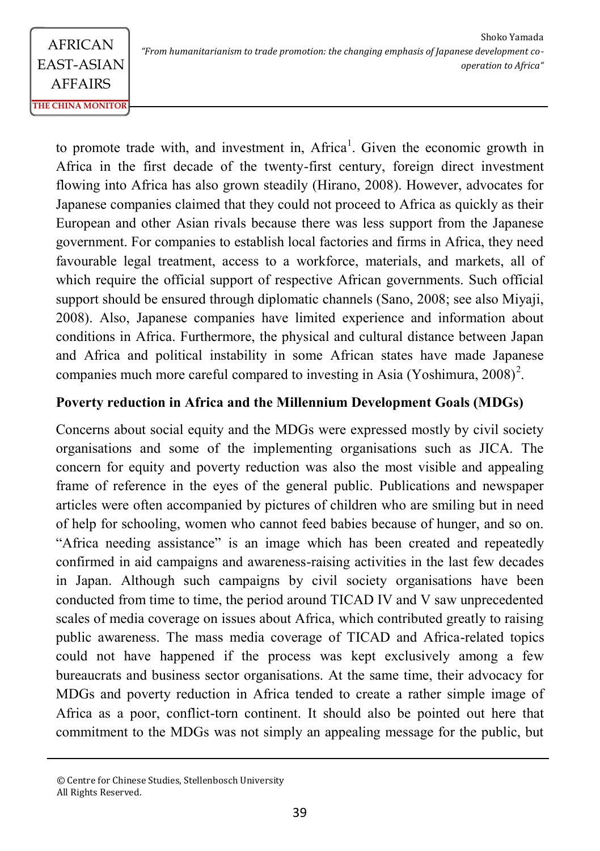> to promote trade with, and investment in, Africa<sup>1</sup>. Given the economic growth in Africa in the first decade of the twenty-first century, foreign direct investment flowing into Africa has also grown steadily (Hirano, 2008). However, advocates for Japanese companies claimed that they could not proceed to Africa as quickly as their European and other Asian rivals because there was less support from the Japanese government. For companies to establish local factories and firms in Africa, they need favourable legal treatment, access to a workforce, materials, and markets, all of which require the official support of respective African governments. Such official support should be ensured through diplomatic channels (Sano, 2008; see also Miyaji, 2008). Also, Japanese companies have limited experience and information about conditions in Africa. Furthermore, the physical and cultural distance between Japan and Africa and political instability in some African states have made Japanese companies much more careful compared to investing in Asia (Yoshimura,  $2008$ )<sup>2</sup>.

### **Poverty reduction in Africa and the Millennium Development Goals (MDGs)**

Concerns about social equity and the MDGs were expressed mostly by civil society organisations and some of the implementing organisations such as JICA. The concern for equity and poverty reduction was also the most visible and appealing frame of reference in the eyes of the general public. Publications and newspaper articles were often accompanied by pictures of children who are smiling but in need of help for schooling, women who cannot feed babies because of hunger, and so on. "Africa needing assistance" is an image which has been created and repeatedly confirmed in aid campaigns and awareness-raising activities in the last few decades in Japan. Although such campaigns by civil society organisations have been conducted from time to time, the period around TICAD IV and V saw unprecedented scales of media coverage on issues about Africa, which contributed greatly to raising public awareness. The mass media coverage of TICAD and Africa-related topics could not have happened if the process was kept exclusively among a few bureaucrats and business sector organisations. At the same time, their advocacy for MDGs and poverty reduction in Africa tended to create a rather simple image of Africa as a poor, conflict-torn continent. It should also be pointed out here that commitment to the MDGs was not simply an appealing message for the public, but

<sup>©</sup> Centre for Chinese Studies, Stellenbosch University All Rights Reserved.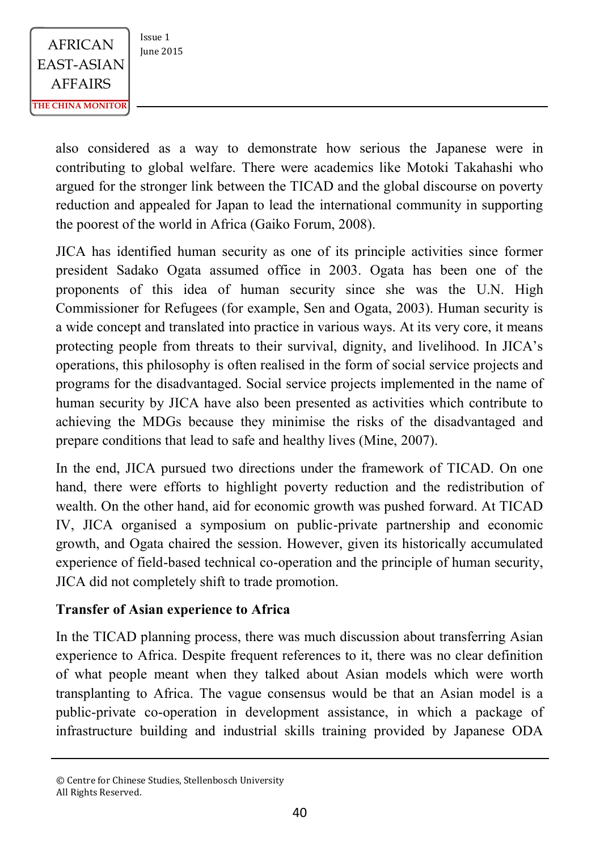also considered as a way to demonstrate how serious the Japanese were in contributing to global welfare. There were academics like Motoki Takahashi who argued for the stronger link between the TICAD and the global discourse on poverty reduction and appealed for Japan to lead the international community in supporting the poorest of the world in Africa (Gaiko Forum, 2008).

JICA has identified human security as one of its principle activities since former president Sadako Ogata assumed office in 2003. Ogata has been one of the proponents of this idea of human security since she was the U.N. High Commissioner for Refugees (for example, Sen and Ogata, 2003). Human security is a wide concept and translated into practice in various ways. At its very core, it means protecting people from threats to their survival, dignity, and livelihood. In JICA's operations, this philosophy is often realised in the form of social service projects and programs for the disadvantaged. Social service projects implemented in the name of human security by JICA have also been presented as activities which contribute to achieving the MDGs because they minimise the risks of the disadvantaged and prepare conditions that lead to safe and healthy lives (Mine, 2007).

In the end, JICA pursued two directions under the framework of TICAD. On one hand, there were efforts to highlight poverty reduction and the redistribution of wealth. On the other hand, aid for economic growth was pushed forward. At TICAD IV, JICA organised a symposium on public-private partnership and economic growth, and Ogata chaired the session. However, given its historically accumulated experience of field-based technical co-operation and the principle of human security, JICA did not completely shift to trade promotion.

#### **Transfer of Asian experience to Africa**

In the TICAD planning process, there was much discussion about transferring Asian experience to Africa. Despite frequent references to it, there was no clear definition of what people meant when they talked about Asian models which were worth transplanting to Africa. The vague consensus would be that an Asian model is a public-private co-operation in development assistance, in which a package of infrastructure building and industrial skills training provided by Japanese ODA

<sup>©</sup> Centre for Chinese Studies, Stellenbosch University All Rights Reserved.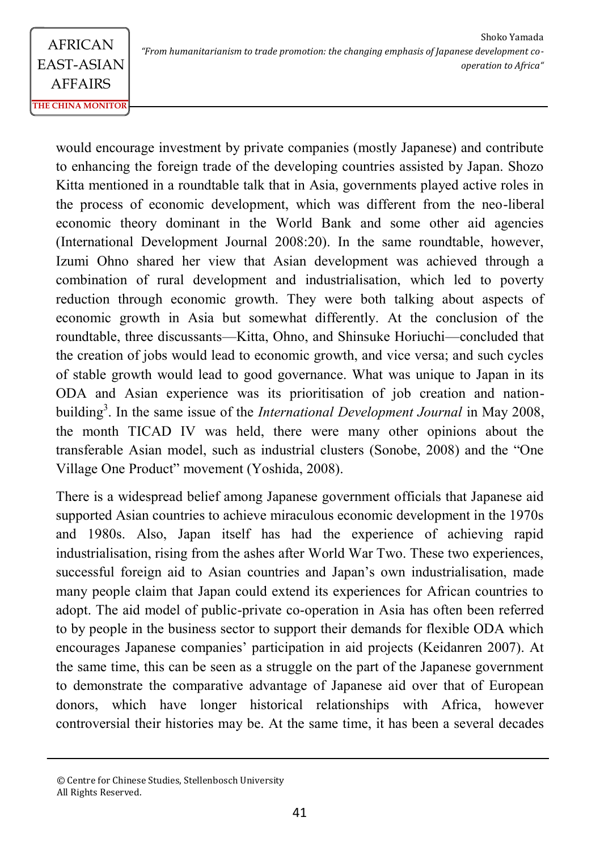> would encourage investment by private companies (mostly Japanese) and contribute to enhancing the foreign trade of the developing countries assisted by Japan. Shozo Kitta mentioned in a roundtable talk that in Asia, governments played active roles in the process of economic development, which was different from the neo-liberal economic theory dominant in the World Bank and some other aid agencies (International Development Journal 2008:20). In the same roundtable, however, Izumi Ohno shared her view that Asian development was achieved through a combination of rural development and industrialisation, which led to poverty reduction through economic growth. They were both talking about aspects of economic growth in Asia but somewhat differently. At the conclusion of the roundtable, three discussants—Kitta, Ohno, and Shinsuke Horiuchi—concluded that the creation of jobs would lead to economic growth, and vice versa; and such cycles of stable growth would lead to good governance. What was unique to Japan in its ODA and Asian experience was its prioritisation of job creation and nationbuilding<sup>3</sup>. In the same issue of the *International Development Journal* in May 2008, the month TICAD IV was held, there were many other opinions about the transferable Asian model, such as industrial clusters (Sonobe, 2008) and the "One Village One Product" movement (Yoshida, 2008).

> There is a widespread belief among Japanese government officials that Japanese aid supported Asian countries to achieve miraculous economic development in the 1970s and 1980s. Also, Japan itself has had the experience of achieving rapid industrialisation, rising from the ashes after World War Two. These two experiences, successful foreign aid to Asian countries and Japan's own industrialisation, made many people claim that Japan could extend its experiences for African countries to adopt. The aid model of public-private co-operation in Asia has often been referred to by people in the business sector to support their demands for flexible ODA which encourages Japanese companies' participation in aid projects (Keidanren 2007). At the same time, this can be seen as a struggle on the part of the Japanese government to demonstrate the comparative advantage of Japanese aid over that of European donors, which have longer historical relationships with Africa, however controversial their histories may be. At the same time, it has been a several decades

<sup>©</sup> Centre for Chinese Studies, Stellenbosch University All Rights Reserved.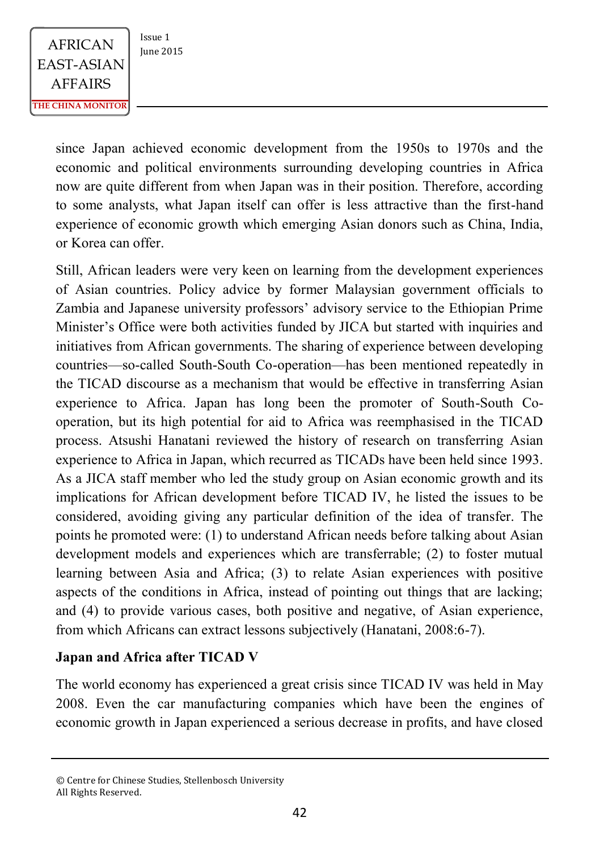since Japan achieved economic development from the 1950s to 1970s and the economic and political environments surrounding developing countries in Africa now are quite different from when Japan was in their position. Therefore, according to some analysts, what Japan itself can offer is less attractive than the first-hand experience of economic growth which emerging Asian donors such as China, India, or Korea can offer.

Still, African leaders were very keen on learning from the development experiences of Asian countries. Policy advice by former Malaysian government officials to Zambia and Japanese university professors' advisory service to the Ethiopian Prime Minister's Office were both activities funded by JICA but started with inquiries and initiatives from African governments. The sharing of experience between developing countries—so-called South-South Co-operation—has been mentioned repeatedly in the TICAD discourse as a mechanism that would be effective in transferring Asian experience to Africa. Japan has long been the promoter of South-South Cooperation, but its high potential for aid to Africa was reemphasised in the TICAD process. Atsushi Hanatani reviewed the history of research on transferring Asian experience to Africa in Japan, which recurred as TICADs have been held since 1993. As a JICA staff member who led the study group on Asian economic growth and its implications for African development before TICAD IV, he listed the issues to be considered, avoiding giving any particular definition of the idea of transfer. The points he promoted were: (1) to understand African needs before talking about Asian development models and experiences which are transferrable; (2) to foster mutual learning between Asia and Africa; (3) to relate Asian experiences with positive aspects of the conditions in Africa, instead of pointing out things that are lacking; and (4) to provide various cases, both positive and negative, of Asian experience, from which Africans can extract lessons subjectively (Hanatani, 2008:6-7).

#### **Japan and Africa after TICAD V**

The world economy has experienced a great crisis since TICAD IV was held in May 2008. Even the car manufacturing companies which have been the engines of economic growth in Japan experienced a serious decrease in profits, and have closed

<sup>©</sup> Centre for Chinese Studies, Stellenbosch University All Rights Reserved.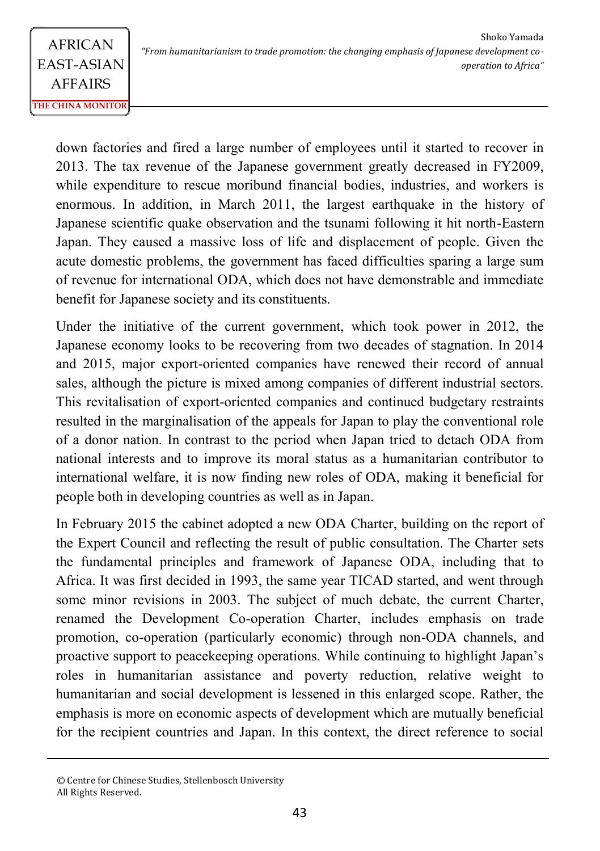> down factories and fired a large number of employees until it started to recover in 2013. The tax revenue of the Japanese government greatly decreased in FY2009, while expenditure to rescue moribund financial bodies, industries, and workers is enormous. In addition, in March 2011, the largest earthquake in the history of Japanese scientific quake observation and the tsunami following it hit north-Eastern Japan. They caused a massive loss of life and displacement of people. Given the acute domestic problems, the government has faced difficulties sparing a large sum of revenue for international ODA, which does not have demonstrable and immediate benefit for Japanese society and its constituents.

> Under the initiative of the current government, which took power in 2012, the Japanese economy looks to be recovering from two decades of stagnation. In 2014 and 2015, major export-oriented companies have renewed their record of annual sales, although the picture is mixed among companies of different industrial sectors. This revitalisation of export-oriented companies and continued budgetary restraints resulted in the marginalisation of the appeals for Japan to play the conventional role of a donor nation. In contrast to the period when Japan tried to detach ODA from national interests and to improve its moral status as a humanitarian contributor to international welfare, it is now finding new roles of ODA, making it beneficial for people both in developing countries as well as in Japan.

> In February 2015 the cabinet adopted a new ODA Charter, building on the report of the Expert Council and reflecting the result of public consultation. The Charter sets the fundamental principles and framework of Japanese ODA, including that to Africa. It was first decided in 1993, the same year TICAD started, and went through some minor revisions in 2003. The subject of much debate, the current Charter, renamed the Development Co-operation Charter, includes emphasis on trade promotion, co-operation (particularly economic) through non-ODA channels, and proactive support to peacekeeping operations. While continuing to highlight Japan's roles in humanitarian assistance and poverty reduction, relative weight to humanitarian and social development is lessened in this enlarged scope. Rather, the emphasis is more on economic aspects of development which are mutually beneficial for the recipient countries and Japan. In this context, the direct reference to social

<sup>©</sup> Centre for Chinese Studies, Stellenbosch University All Rights Reserved.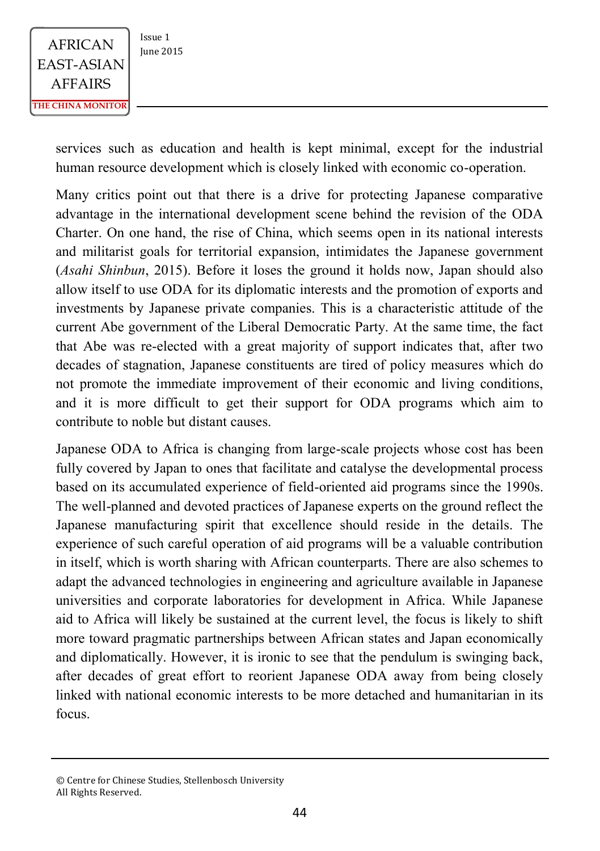

services such as education and health is kept minimal, except for the industrial human resource development which is closely linked with economic co-operation.

Many critics point out that there is a drive for protecting Japanese comparative advantage in the international development scene behind the revision of the ODA Charter. On one hand, the rise of China, which seems open in its national interests and militarist goals for territorial expansion, intimidates the Japanese government (*Asahi Shinbun*, 2015). Before it loses the ground it holds now, Japan should also allow itself to use ODA for its diplomatic interests and the promotion of exports and investments by Japanese private companies. This is a characteristic attitude of the current Abe government of the Liberal Democratic Party. At the same time, the fact that Abe was re-elected with a great majority of support indicates that, after two decades of stagnation, Japanese constituents are tired of policy measures which do not promote the immediate improvement of their economic and living conditions, and it is more difficult to get their support for ODA programs which aim to contribute to noble but distant causes.

Japanese ODA to Africa is changing from large-scale projects whose cost has been fully covered by Japan to ones that facilitate and catalyse the developmental process based on its accumulated experience of field-oriented aid programs since the 1990s. The well-planned and devoted practices of Japanese experts on the ground reflect the Japanese manufacturing spirit that excellence should reside in the details. The experience of such careful operation of aid programs will be a valuable contribution in itself, which is worth sharing with African counterparts. There are also schemes to adapt the advanced technologies in engineering and agriculture available in Japanese universities and corporate laboratories for development in Africa. While Japanese aid to Africa will likely be sustained at the current level, the focus is likely to shift more toward pragmatic partnerships between African states and Japan economically and diplomatically. However, it is ironic to see that the pendulum is swinging back, after decades of great effort to reorient Japanese ODA away from being closely linked with national economic interests to be more detached and humanitarian in its focus.

<sup>©</sup> Centre for Chinese Studies, Stellenbosch University All Rights Reserved.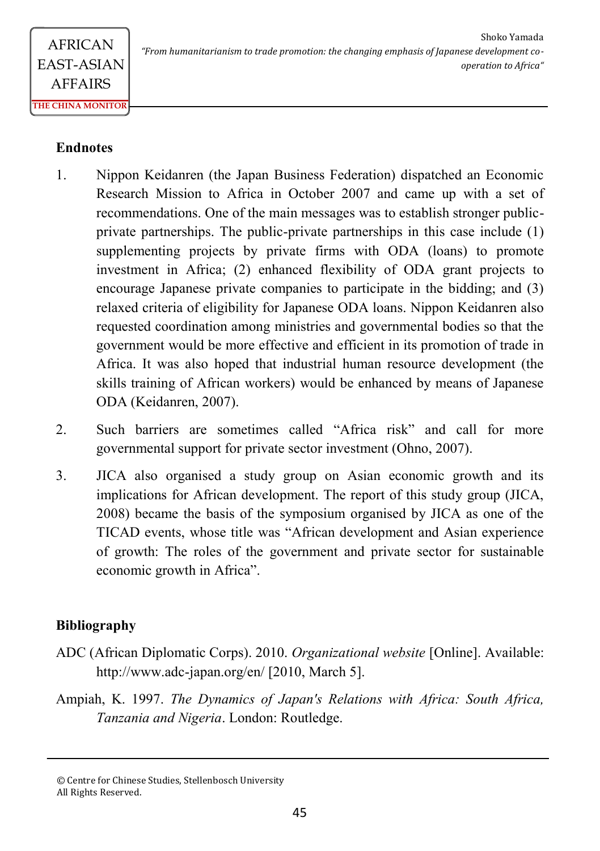### **Endnotes**

- 1. Nippon Keidanren (the Japan Business Federation) dispatched an Economic Research Mission to Africa in October 2007 and came up with a set of recommendations. One of the main messages was to establish stronger publicprivate partnerships. The public-private partnerships in this case include (1) supplementing projects by private firms with ODA (loans) to promote investment in Africa; (2) enhanced flexibility of ODA grant projects to encourage Japanese private companies to participate in the bidding; and (3) relaxed criteria of eligibility for Japanese ODA loans. Nippon Keidanren also requested coordination among ministries and governmental bodies so that the government would be more effective and efficient in its promotion of trade in Africa. It was also hoped that industrial human resource development (the skills training of African workers) would be enhanced by means of Japanese ODA (Keidanren, 2007).
- 2. Such barriers are sometimes called "Africa risk" and call for more governmental support for private sector investment (Ohno, 2007).
- 3. JICA also organised a study group on Asian economic growth and its implications for African development. The report of this study group (JICA, 2008) became the basis of the symposium organised by JICA as one of the TICAD events, whose title was "African development and Asian experience of growth: The roles of the government and private sector for sustainable economic growth in Africa".

### **Bibliography**

- ADC (African Diplomatic Corps). 2010. *Organizational website* [Online]. Available: http://www.adc-japan.org/en/ [2010, March 5].
- Ampiah, K. 1997. *The Dynamics of Japan's Relations with Africa: South Africa, Tanzania and Nigeria*. London: Routledge.

<sup>©</sup> Centre for Chinese Studies, Stellenbosch University All Rights Reserved.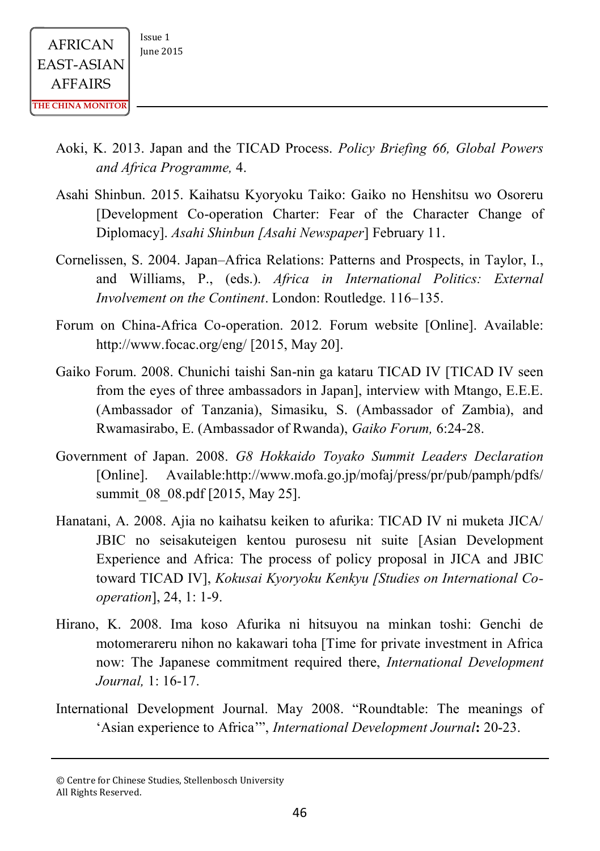- Aoki, K. 2013. Japan and the TICAD Process. *Policy Briefing 66, Global Powers and Africa Programme,* 4.
- Asahi Shinbun. 2015. Kaihatsu Kyoryoku Taiko: Gaiko no Henshitsu wo Osoreru [Development Co-operation Charter: Fear of the Character Change of Diplomacy]. *Asahi Shinbun [Asahi Newspaper*] February 11.
- Cornelissen, S. 2004. Japan–Africa Relations: Patterns and Prospects, in Taylor, I., and Williams, P., (eds.). *Africa in International Politics: External Involvement on the Continent*. London: Routledge. 116–135.
- Forum on China-Africa Co-operation. 2012*.* Forum website [Online]. Available: http://www.focac.org/eng/ [2015, May 20].
- Gaiko Forum. 2008. Chunichi taishi San-nin ga kataru TICAD IV [TICAD IV seen from the eyes of three ambassadors in Japan], interview with Mtango, E.E.E. (Ambassador of Tanzania), Simasiku, S. (Ambassador of Zambia), and Rwamasirabo, E. (Ambassador of Rwanda), *Gaiko Forum,* 6:24-28.
- Government of Japan. 2008. *G8 Hokkaido Toyako Summit Leaders Declaration*  [Online]. Available:http://www.mofa.go.jp/mofaj/press/pr/pub/pamph/pdfs/ summit 08 08.pdf [2015, May 25].
- Hanatani, A. 2008. Ajia no kaihatsu keiken to afurika: TICAD IV ni muketa JICA/ JBIC no seisakuteigen kentou purosesu nit suite [Asian Development Experience and Africa: The process of policy proposal in JICA and JBIC toward TICAD IV], *Kokusai Kyoryoku Kenkyu [Studies on International Cooperation*], 24, 1: 1-9.
- Hirano, K. 2008. Ima koso Afurika ni hitsuyou na minkan toshi: Genchi de motomerareru nihon no kakawari toha [Time for private investment in Africa now: The Japanese commitment required there, *International Development Journal,* 1: 16-17.
- International Development Journal. May 2008. "Roundtable: The meanings of 'Asian experience to Africa'", *International Development Journal***:** 20-23.

<sup>©</sup> Centre for Chinese Studies, Stellenbosch University All Rights Reserved.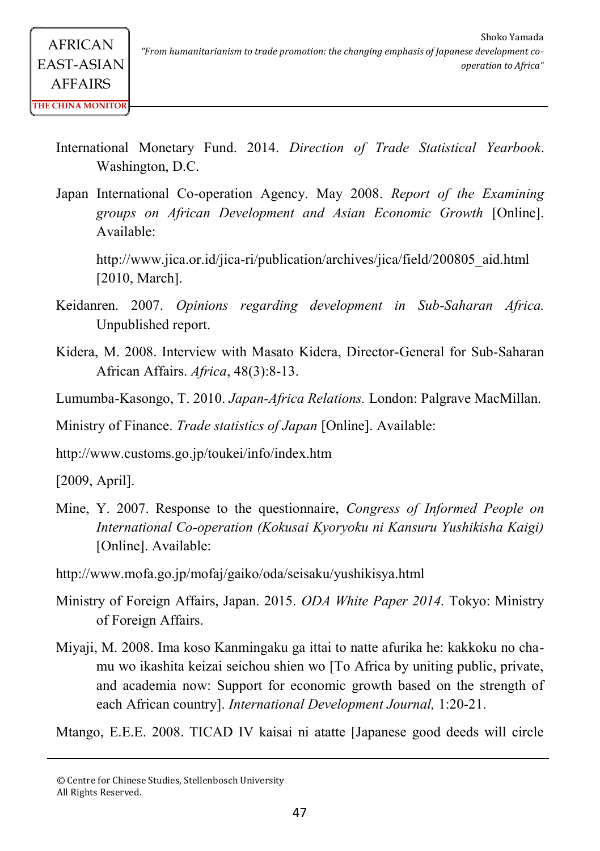- International Monetary Fund. 2014. *Direction of Trade Statistical Yearbook*. Washington, D.C.
- Japan International Co-operation Agency. May 2008. *Report of the Examining groups on African Development and Asian Economic Growth* [Online]. Available:

http://www.jica.or.id/jica-ri/publication/archives/jica/field/200805\_aid.html [2010, March].

- Keidanren. 2007. *Opinions regarding development in Sub-Saharan Africa.*  Unpublished report.
- Kidera, M. 2008. Interview with Masato Kidera, Director-General for Sub-Saharan African Affairs. *Africa*, 48(3):8-13.
- Lumumba-Kasongo, T. 2010. *Japan-Africa Relations.* London: Palgrave MacMillan.

Ministry of Finance. *Trade statistics of Japan* [Online]. Available:

http://www.customs.go.jp/toukei/info/index.htm

[2009, April].

- Mine, Y. 2007. Response to the questionnaire, *Congress of Informed People on International Co-operation (Kokusai Kyoryoku ni Kansuru Yushikisha Kaigi)*  [Online]. Available:
- http://www.mofa.go.jp/mofaj/gaiko/oda/seisaku/yushikisya.html
- Ministry of Foreign Affairs, Japan. 2015. *ODA White Paper 2014.* Tokyo: Ministry of Foreign Affairs.
- Miyaji, M. 2008. Ima koso Kanmingaku ga ittai to natte afurika he: kakkoku no chamu wo ikashita keizai seichou shien wo [To Africa by uniting public, private, and academia now: Support for economic growth based on the strength of each African country]. *International Development Journal,* 1:20-21.

Mtango, E.E.E. 2008. TICAD IV kaisai ni atatte [Japanese good deeds will circle

<sup>©</sup> Centre for Chinese Studies, Stellenbosch University All Rights Reserved.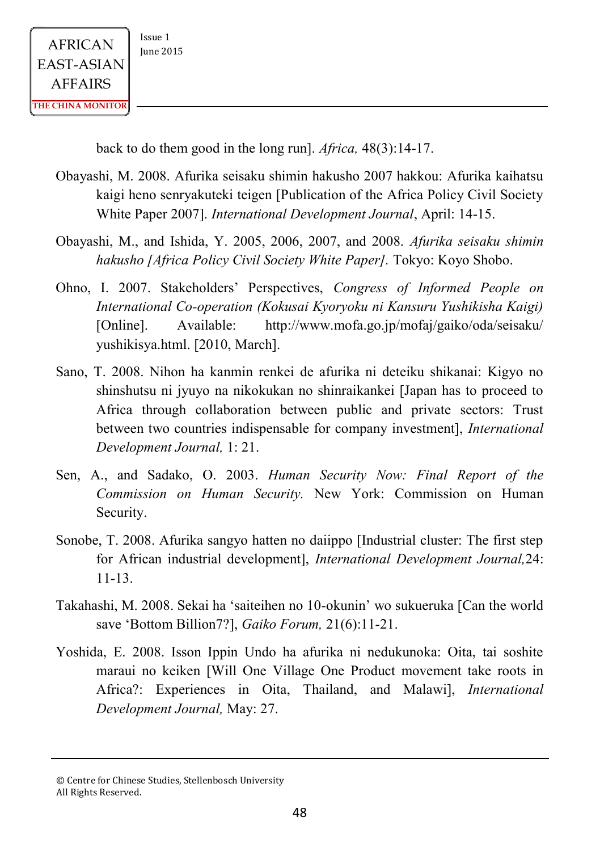back to do them good in the long run]. *Africa,* 48(3):14-17.

- Obayashi, M. 2008. Afurika seisaku shimin hakusho 2007 hakkou: Afurika kaihatsu kaigi heno senryakuteki teigen [Publication of the Africa Policy Civil Society White Paper 2007]. *International Development Journal*, April: 14-15.
- Obayashi, M., and Ishida, Y. 2005, 2006, 2007, and 2008. *Afurika seisaku shimin hakusho [Africa Policy Civil Society White Paper].* Tokyo: Koyo Shobo.
- Ohno, I. 2007. Stakeholders' Perspectives, *Congress of Informed People on International Co-operation (Kokusai Kyoryoku ni Kansuru Yushikisha Kaigi)*  [Online]. Available: http://www.mofa.go.jp/mofaj/gaiko/oda/seisaku/ yushikisya.html. [2010, March].
- Sano, T. 2008. Nihon ha kanmin renkei de afurika ni deteiku shikanai: Kigyo no shinshutsu ni jyuyo na nikokukan no shinraikankei [Japan has to proceed to Africa through collaboration between public and private sectors: Trust between two countries indispensable for company investment], *International Development Journal,* 1: 21.
- Sen, A., and Sadako, O. 2003. *Human Security Now: Final Report of the Commission on Human Security.* New York: Commission on Human Security.
- Sonobe, T. 2008. Afurika sangyo hatten no daiippo [Industrial cluster: The first step for African industrial development], *International Development Journal,*24: 11-13.
- Takahashi, M. 2008. Sekai ha 'saiteihen no 10-okunin' wo sukueruka [Can the world save 'Bottom Billion7?], *Gaiko Forum,* 21(6):11-21.
- Yoshida, E. 2008. Isson Ippin Undo ha afurika ni nedukunoka: Oita, tai soshite maraui no keiken [Will One Village One Product movement take roots in Africa?: Experiences in Oita, Thailand, and Malawi], *International Development Journal,* May: 27.

<sup>©</sup> Centre for Chinese Studies, Stellenbosch University All Rights Reserved.